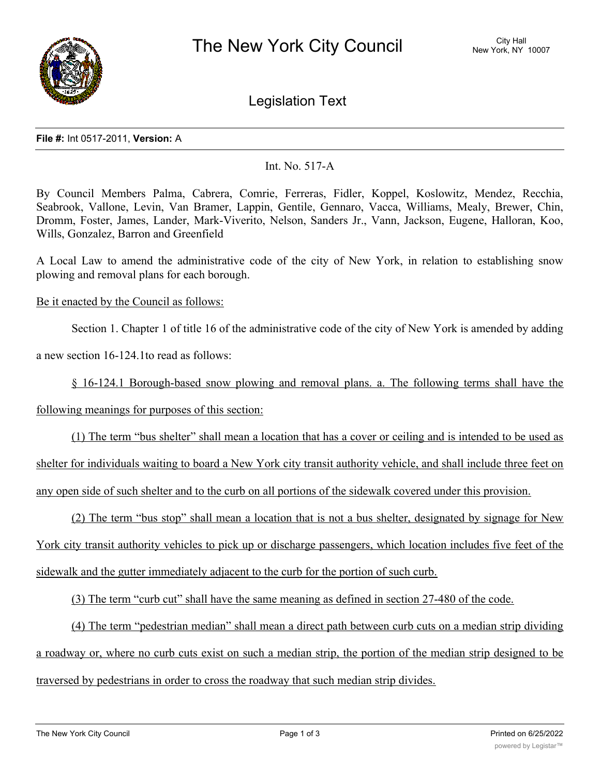

Legislation Text

## **File #:** Int 0517-2011, **Version:** A

## Int. No. 517-A

By Council Members Palma, Cabrera, Comrie, Ferreras, Fidler, Koppel, Koslowitz, Mendez, Recchia, Seabrook, Vallone, Levin, Van Bramer, Lappin, Gentile, Gennaro, Vacca, Williams, Mealy, Brewer, Chin, Dromm, Foster, James, Lander, Mark-Viverito, Nelson, Sanders Jr., Vann, Jackson, Eugene, Halloran, Koo, Wills, Gonzalez, Barron and Greenfield

A Local Law to amend the administrative code of the city of New York, in relation to establishing snow plowing and removal plans for each borough.

Be it enacted by the Council as follows:

Section 1. Chapter 1 of title 16 of the administrative code of the city of New York is amended by adding

a new section 16-124.1to read as follows:

§ 16-124.1 Borough-based snow plowing and removal plans. a. The following terms shall have the

following meanings for purposes of this section:

(1) The term "bus shelter" shall mean a location that has a cover or ceiling and is intended to be used as shelter for individuals waiting to board a New York city transit authority vehicle, and shall include three feet on any open side of such shelter and to the curb on all portions of the sidewalk covered under this provision.

(2) The term "bus stop" shall mean a location that is not a bus shelter, designated by signage for New York city transit authority vehicles to pick up or discharge passengers, which location includes five feet of the sidewalk and the gutter immediately adjacent to the curb for the portion of such curb.

(3) The term "curb cut" shall have the same meaning as defined in section 27-480 of the code.

(4) The term "pedestrian median" shall mean a direct path between curb cuts on a median strip dividing a roadway or, where no curb cuts exist on such a median strip, the portion of the median strip designed to be traversed by pedestrians in order to cross the roadway that such median strip divides.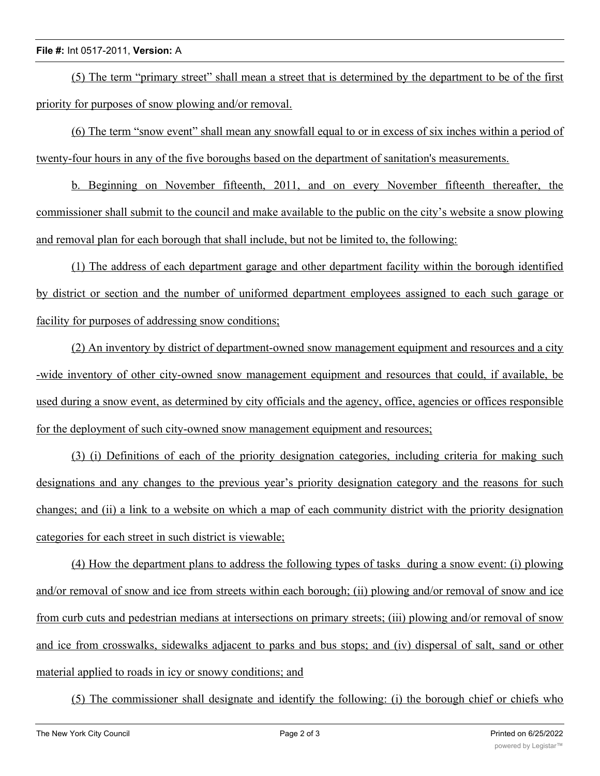## **File #:** Int 0517-2011, **Version:** A

(5) The term "primary street" shall mean a street that is determined by the department to be of the first priority for purposes of snow plowing and/or removal.

(6) The term "snow event" shall mean any snowfall equal to or in excess of six inches within a period of twenty-four hours in any of the five boroughs based on the department of sanitation's measurements.

b. Beginning on November fifteenth, 2011, and on every November fifteenth thereafter, the commissioner shall submit to the council and make available to the public on the city's website a snow plowing and removal plan for each borough that shall include, but not be limited to, the following:

(1) The address of each department garage and other department facility within the borough identified by district or section and the number of uniformed department employees assigned to each such garage or facility for purposes of addressing snow conditions;

(2) An inventory by district of department-owned snow management equipment and resources and a city -wide inventory of other city-owned snow management equipment and resources that could, if available, be used during a snow event, as determined by city officials and the agency, office, agencies or offices responsible for the deployment of such city-owned snow management equipment and resources;

(3) (i) Definitions of each of the priority designation categories, including criteria for making such designations and any changes to the previous year's priority designation category and the reasons for such changes; and (ii) a link to a website on which a map of each community district with the priority designation categories for each street in such district is viewable;

(4) How the department plans to address the following types of tasks during a snow event: (i) plowing and/or removal of snow and ice from streets within each borough; (ii) plowing and/or removal of snow and ice from curb cuts and pedestrian medians at intersections on primary streets; (iii) plowing and/or removal of snow and ice from crosswalks, sidewalks adjacent to parks and bus stops; and (iv) dispersal of salt, sand or other material applied to roads in icy or snowy conditions; and

(5) The commissioner shall designate and identify the following: (i) the borough chief or chiefs who